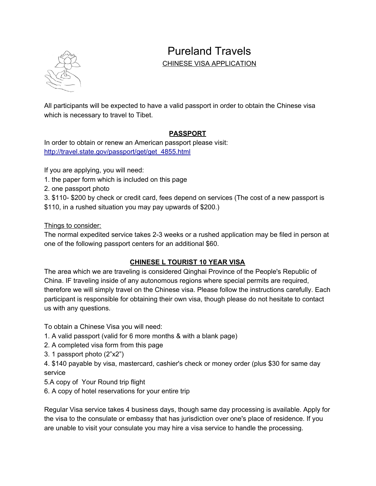

# Pureland Travels

#### CHINESE VISA APPLICATION

All participants will be expected to have a valid passport in order to obtain the Chinese visa which is necessary to travel to Tibet.

## **PASSPORT**

In order to obtain or renew an American passport please visit: [http://travel.state.gov/passport/get/get\\_4855.html](http://travel.state.gov/passport/get/get_4855.html)

If you are applying, you will need:

- 1. the paper form which is included on this page
- 2. one passport photo
- 3. \$110- \$200 by check or credit card, fees depend on services (The cost of a new passport is \$110, in a rushed situation you may pay upwards of \$200.)

#### Things to consider:

The normal expedited service takes 2-3 weeks or a rushed application may be filed in person at one of the following passport centers for an additional \$60.

## **CHINESE L TOURIST 10 YEAR VISA**

The area which we are traveling is considered Qinghai Province of the People's Republic of China. IF traveling inside of any autonomous regions where special permits are required, therefore we will simply travel on the Chinese visa. Please follow the instructions carefully. Each participant is responsible for obtaining their own visa, though please do not hesitate to contact us with any questions.

To obtain a Chinese Visa you will need:

- 1. A valid passport (valid for 6 more months & with a blank page)
- 2. A completed visa form from this page
- 3. 1 passport photo (2"x2")

4. \$140 payable by visa, mastercard, cashier's check or money order (plus \$30 for same day service

- 5.A copy of Your Round trip flight
- 6. A copy of hotel reservations for your entire trip

Regular Visa service takes 4 business days, though same day processing is available. Apply for the visa to the consulate or embassy that has jurisdiction over one's place of residence. If you are unable to visit your consulate you may hire a visa service to handle the processing.